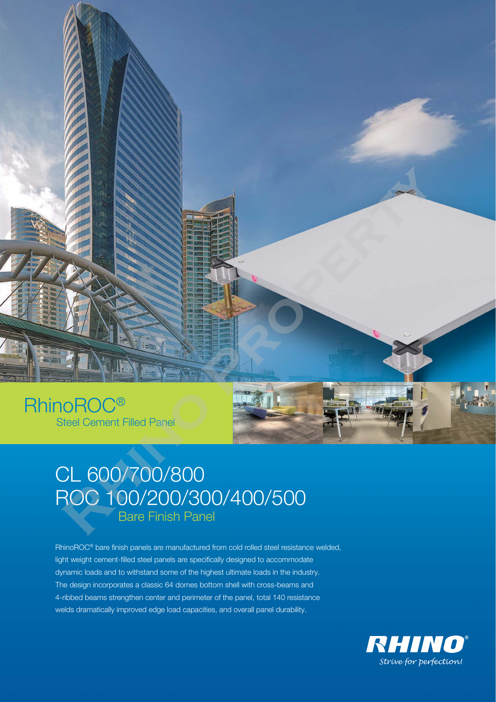

## RhinoROC® Steel Cement Filled Panel



## CL 600/700/800 ROC 100/200/300/400/500 Bare Finish Panel

RhinoROC® bare finish panels are manufactured from cold rolled steel resistance welded, light weight cement-filled steel panels are specifically designed to accommodate dynamic loads and to withstand some of the highest ultimate loads in the industry. The design incorporates a classic 64 domes bottom shell with cross-beams and 4-ribbed beams strengthen center and perimeter of the panel, total 140 resistance welds dramatically improved edge load capacities, and overall panel durability.

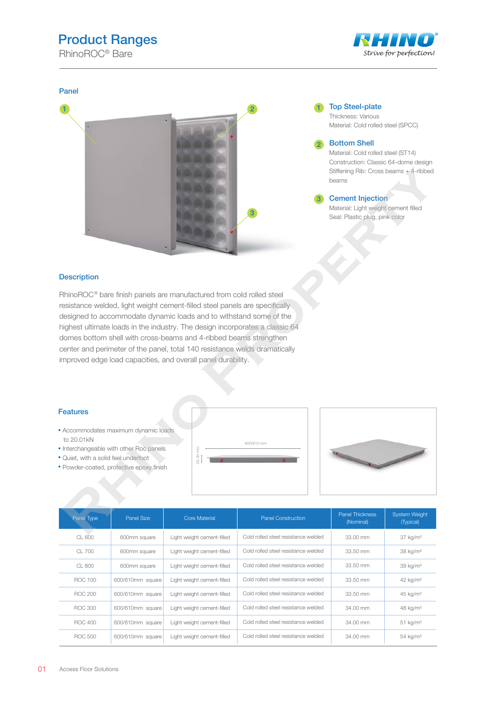## Product Ranges

RhinoROC® Bare



# Panel 1 3 **Recovered School Control Control Control Control Control Control Control Control Control Control Control Control Control Control Control Control Control Control Control Control Control Control Control Control Control Cont**

2 **1** Top Steel-plate Thickness: Various Material: Cold rolled steel (SPCC)

2

Bottom Shell Material: Cold rolled steel (ST14) Construction: Classic 64-dome design Stiffening Rib: Cross beams + 4-ribbed beams

Cement Injection Material: Light weight cement filled Seal: Plastic plug, pink color 3

#### **Description**

RhinoROC<sup>®</sup> bare finish panels are manufactured from cold rolled steel resistance welded, light weight cement-filled steel panels are specifically designed to accommodate dynamic loads and to withstand some of the highest ultimate loads in the industry. The design incorporates a classic 64 domes bottom shell with cross-beams and 4-ribbed beams strengthen center and perimeter of the panel, total 140 resistance welds dramatically improved edge load capacities, and overall panel durability.

#### Features

- Accommodates maximum dynamic loads to 20.01kN
- Interchangeable with other Roc panels
- Quiet, with a solid feel underfoot
- Powder-coated, protective epoxy finish





| Panel Type | Panel Size       | <b>Core Material</b>       | <b>Panel Construction</b>           | <b>Panel Thickness</b><br>(Nominal) | <b>System Weight</b><br>(Typical) |
|------------|------------------|----------------------------|-------------------------------------|-------------------------------------|-----------------------------------|
| CL 600     | 600mm square     | Light weight cement-filled | Cold rolled steel resistance welded | 33.00 mm                            | 37 kg/m <sup>2</sup>              |
| $CI$ $700$ | 600mm square     | Light weight cement-filled | Cold rolled steel resistance welded | 33.50 mm                            | 38 kg/m <sup>2</sup>              |
| $CI$ 800   | 600mm square     | Light weight cement-filled | Cold rolled steel resistance welded | 33.50 mm                            | 39 kg/m <sup>2</sup>              |
| ROC 100    | 600/610mm square | Light weight cement-filled | Cold rolled steel resistance welded | 33.50 mm                            | 42 kg/m <sup>2</sup>              |
| BOC 200    | 600/610mm square | Light weight cement-filled | Cold rolled steel resistance welded | 33.50 mm                            | 45 kg/m <sup>2</sup>              |
| BOC 300    | 600/610mm square | Light weight cement-filled | Cold rolled steel resistance welded | 34.00 mm                            | 48 kg/m <sup>2</sup>              |
| ROC 400    | 600/610mm square | Light weight cement-filled | Cold rolled steel resistance welded | 34.00 mm                            | $51$ kg/m <sup>2</sup>            |
| BOC 500    | 600/610mm square | Light weight cement-filled | Cold rolled steel resistance welded | 34.00 mm                            | 54 kg/m <sup>2</sup>              |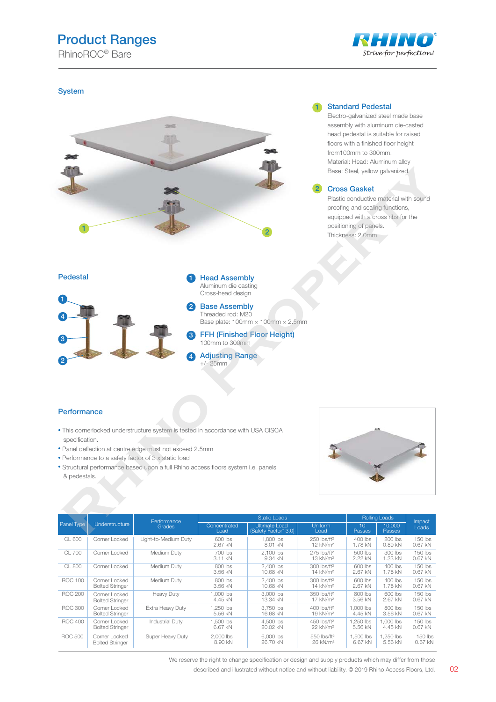### Product Ranges

RhinoROC® Bare



#### **System**



#### 1 Standard Pedestal

Electro-galvanized steel made base assembly with aluminum die-casted head pedestal is suitable for raised floors with a finished floor height from100mm to 300mm. Material: Head: Aluminum alloy Base: Steel, yellow galvanized.

#### Cross Gasket 2

Plastic conductive material with sound proofing and sealing functions, equipped with a cross ribs for the positioning of panels. Thickness: 2.0mm

# Pedestal **Democratists 1 Head Assembly** Aluminum die casting Cross-head design 2 Base Assembly Threaded rod: M20 Base plate: 100mm × 100mm × 2.5mm FFH (Finished Floor Height) 3 100mm to 300mm Adjusting Range +/- 25mm 4 1 4 3 2 **Research State, which gas a final state of the control of the China Control of the China China China China China China China China China China China China China China China China China China China China China China China**

#### **Performance**

- This cornerlocked understructure system is tested in accordance with USA CISCA specification.
- Panel deflection at centre edge must not exceed 2.5mm
- Performance to a safety factor of 3 x static load
- Structural performance based upon a full Rhino access floors system i.e. panels & pedestals.



|                | Understructure                          | Performance<br><b>Grades</b> | <b>Static Loads</b>  |                                       |                                                   | <b>Rolling Loads</b>      |                         |                        |
|----------------|-----------------------------------------|------------------------------|----------------------|---------------------------------------|---------------------------------------------------|---------------------------|-------------------------|------------------------|
| Panel Type     |                                         |                              | Concentrated<br>Load | Ultimate Load<br>(Safety Factor* 3.0) | Uniform<br>Load                                   | 10 <sup>1</sup><br>Passes | 10.000<br><b>Passes</b> | Impact<br>Loads        |
| CL 600         | Corner Locked                           | Light-to-Medium Duty         | 600 lbs<br>2.67 kN   | 1.800 lbs<br>8.01 kN                  | 250 lbs/ft <sup>2</sup><br>12 kN/m <sup>2</sup>   | $400$ lbs<br>1.78 kN      | $200$ lbs<br>0.89 kN    | $150$ lbs<br>$0.67$ kN |
| CL 700         | Corner Locked                           | Medium Duty                  | 700 lbs<br>3.11 kN   | 2.100 lbs<br>9.34 kN                  | 275 lbs/ft <sup>2</sup><br>13 kN/m <sup>2</sup>   | 500 lbs<br>2.22 kN        | $300$ lbs<br>1.33 kN    | $150$ lbs<br>0.67 kN   |
| CL 800         | Corner Locked                           | Medium Duty                  | 800 lbs<br>3.56 kN   | 2.400 lbs<br>10.68 kN                 | $300$ lbs/ft <sup>2</sup><br>14 kN/m <sup>2</sup> | 600 lbs<br>2.67 kN        | $400$ lbs<br>1.78 kN    | $150$ lbs<br>0.67 kN   |
| ROC 100        | Corner Locked<br><b>Bolted Stringer</b> | Medium Duty                  | 800 lbs<br>3.56 kN   | 2.400 lbs<br>10.68 kN                 | 300 lbs/ft <sup>2</sup><br>14 kN/m <sup>2</sup>   | 600 lbs<br>2.67 kN        | $400$ lbs<br>1.78 kN    | $150$ lbs<br>0.67 kN   |
| BOC 200        | Corner Locked<br><b>Bolted Stringer</b> | <b>Heavy Duty</b>            | 1.000 lbs<br>4.45 kN | 3.000 lbs<br>13.34 kN                 | $350$ lbs/ft <sup>2</sup><br>17 kN/m <sup>2</sup> | 800 lbs<br>3.56 kN        | 600 lbs<br>2.67 kN      | $150$ lbs<br>$0.67$ kN |
| BOC 300        | Corner Locked<br><b>Bolted Stringer</b> | Extra Heavy Duty             | 1.250 lbs<br>5.56 kN | 3.750 lbs<br>16.68 kN                 | 400 lbs/ft <sup>2</sup><br>19 kN/m <sup>2</sup>   | 1.000 lbs<br>4.45 kN      | 800 lbs<br>3.56 kN      | $150$ lbs<br>0.67 kN   |
| <b>ROC 400</b> | Corner Locked<br><b>Bolted Stringer</b> | <b>Industrial Duty</b>       | 1.500 lbs<br>6.67 kN | 4.500 lbs<br>20.02 kN                 | 450 lbs/ft <sup>2</sup><br>22 kN/m <sup>2</sup>   | 1.250 lbs<br>5.56 kN      | 1.000 lbs<br>4.45 kN    | $150$ lbs<br>0.67 kN   |
| <b>ROC 500</b> | Corner Locked<br><b>Bolted Stringer</b> | Super Heavy Duty             | 2.000 lbs<br>8.90 kN | 6,000 lbs<br>26.70 kN                 | 550 lbs/ft <sup>2</sup><br>26 kN/m <sup>2</sup>   | 1.500 lbs<br>6.67 kN      | 1.250 lbs<br>5.56 kN    | 150 lbs<br>$0.67$ kN   |

We reserve the right to change specification or design and supply products which may differ from those

described and illustrated without notice and without liability. © 2019 Rhino Access Floors, Ltd. 02